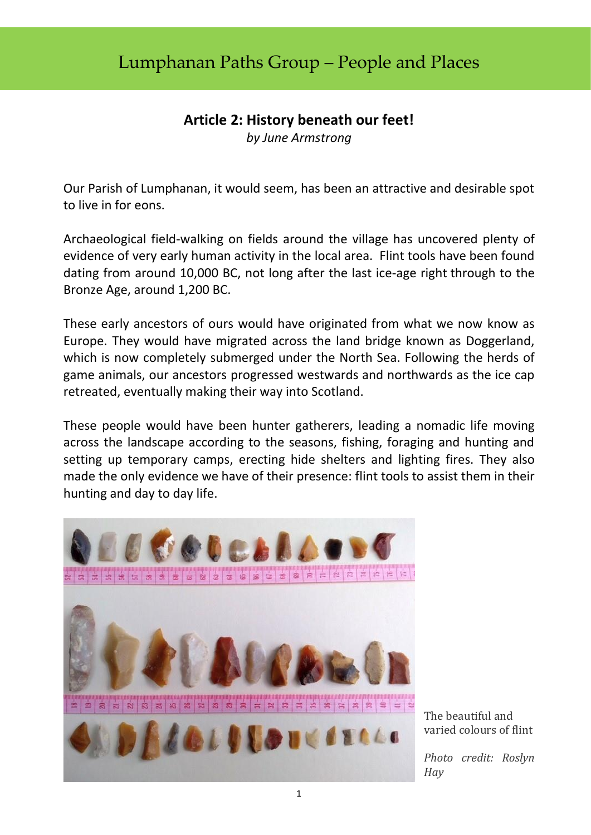## Lumphanan Paths Group – People and Places

## **Article 2: History beneath our feet!**

*by June Armstrong*

Our Parish of Lumphanan, it would seem, has been an attractive and desirable spot to live in for eons.

Archaeological field-walking on fields around the village has uncovered plenty of evidence of very early human activity in the local area. Flint tools have been found dating from around 10,000 BC, not long after the last ice-age right through to the Bronze Age, around 1,200 BC.

These early ancestors of ours would have originated from what we now know as Europe. They would have migrated across the land bridge known as Doggerland, which is now completely submerged under the North Sea. Following the herds of game animals, our ancestors progressed westwards and northwards as the ice cap retreated, eventually making their way into Scotland.

These people would have been hunter gatherers, leading a nomadic life moving across the landscape according to the seasons, fishing, foraging and hunting and setting up temporary camps, erecting hide shelters and lighting fires. They also made the only evidence we have of their presence: flint tools to assist them in their hunting and day to day life.



The beautiful and varied colours of flint

*Photo credit: Roslyn Hay*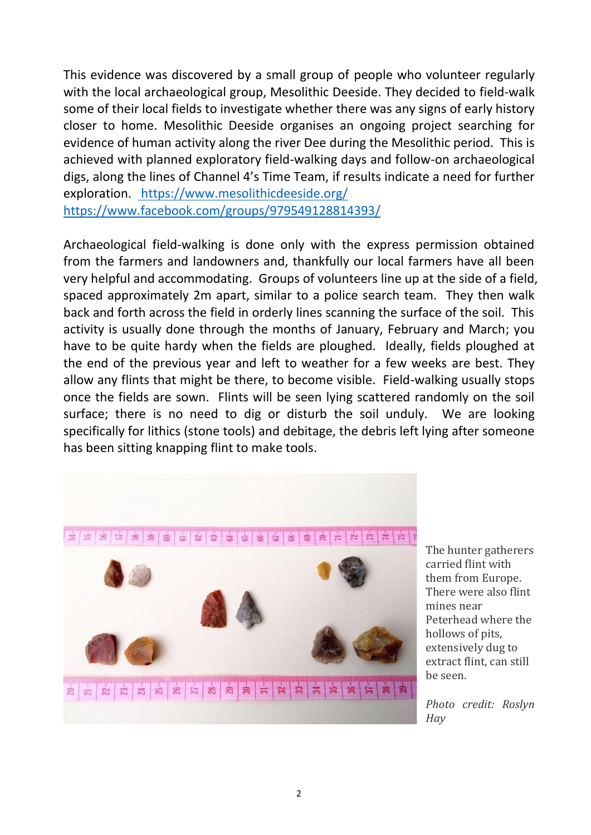This evidence was discovered by a small group of people who volunteer regularly with the local archaeological group, Mesolithic Deeside. They decided to field-walk some of their local fields to investigate whether there was any signs of early history closer to home. Mesolithic Deeside organises an ongoing project searching for evidence of human activity along the river Dee during the Mesolithic period. This is achieved with planned exploratory field-walking days and follow-on archaeological digs, along the lines of Channel 4's Time Team, if results indicate a need for further exploration. <https://www.mesolithicdeeside.org/> <https://www.facebook.com/groups/979549128814393/>

Archaeological field-walking is done only with the express permission obtained from the farmers and landowners and, thankfully our local farmers have all been very helpful and accommodating. Groups of volunteers line up at the side of a field, spaced approximately 2m apart, similar to a police search team. They then walk back and forth across the field in orderly lines scanning the surface of the soil. This activity is usually done through the months of January, February and March; you have to be quite hardy when the fields are ploughed. Ideally, fields ploughed at the end of the previous year and left to weather for a few weeks are best. They allow any flints that might be there, to become visible. Field-walking usually stops once the fields are sown. Flints will be seen lying scattered randomly on the soil surface; there is no need to dig or disturb the soil unduly. We are looking specifically for lithics (stone tools) and debitage, the debris left lying after someone has been sitting knapping flint to make tools.



The hunter gatherers carried flint with them from Europe. There were also flint mines near Peterhead where the hollows of pits, extensively dug to extract flint, can still be seen.

*Photo credit: Roslyn Hay*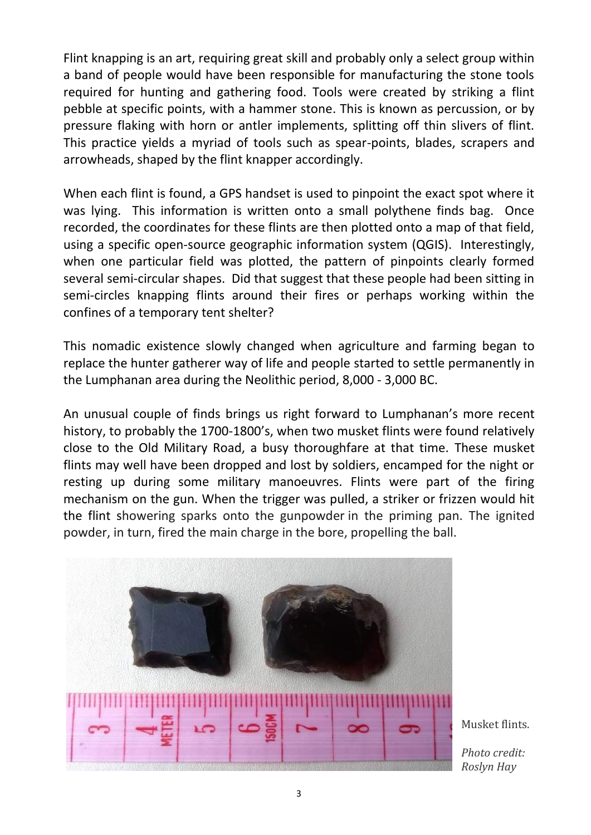Flint knapping is an art, requiring great skill and probably only a select group within a band of people would have been responsible for manufacturing the stone tools required for hunting and gathering food. Tools were created by striking a flint pebble at specific points, with a hammer stone. This is known as percussion, or by pressure flaking with horn or antler implements, splitting off thin slivers of flint. This practice yields a myriad of tools such as spear-points, blades, scrapers and arrowheads, shaped by the flint knapper accordingly.

When each flint is found, a GPS handset is used to pinpoint the exact spot where it was lying. This information is written onto a small polythene finds bag. Once recorded, the coordinates for these flints are then plotted onto a map of that field, using a specific open-source geographic information system (QGIS). Interestingly, when one particular field was plotted, the pattern of pinpoints clearly formed several semi-circular shapes. Did that suggest that these people had been sitting in semi-circles knapping flints around their fires or perhaps working within the confines of a temporary tent shelter?

This nomadic existence slowly changed when agriculture and farming began to replace the hunter gatherer way of life and people started to settle permanently in the Lumphanan area during the Neolithic period, 8,000 - 3,000 BC.

An unusual couple of finds brings us right forward to Lumphanan's more recent history, to probably the 1700-1800's, when two musket flints were found relatively close to the Old Military Road, a busy thoroughfare at that time. These musket flints may well have been dropped and lost by soldiers, encamped for the night or resting up during some military manoeuvres. Flints were part of the firing mechanism on the gun. When the trigger was pulled, a striker or frizzen would hit the flint showering sparks onto the gunpowder in the priming pan. The ignited powder, in turn, fired the main charge in the bore, propelling the ball.



Musket flints.

*Photo credit: Roslyn Hay*